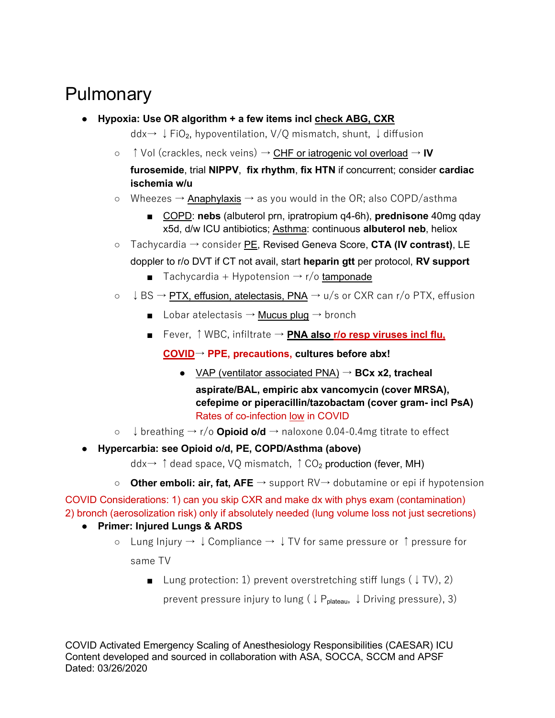## Pulmonary

- **Hypoxia: Use OR algorithm + a few items incl check ABG, CXR**
	- ddx→ ↓FiO<sub>2</sub>, hypoventilation, V/Q mismatch, shunt, ↓diffusion
	- ↑Vol (crackles, neck veins) → CHF or iatrogenic vol overload → **IV**

**furosemide**, trial **NIPPV**, **fix rhythm**, **fix HTN** if concurrent; consider **cardiac ischemia w/u**

- $\circ$  Wheezes  $\rightarrow$  Anaphylaxis  $\rightarrow$  as you would in the OR; also COPD/asthma
	- COPD: **nebs** (albuterol prn, ipratropium q4-6h), **prednisone** 40mg qday x5d, d/w ICU antibiotics; Asthma: continuous **albuterol neb**, heliox
- Tachycardia → consider PE, Revised Geneva Score, **CTA (IV contrast)**, LE
	- doppler to r/o DVT if CT not avail, start **heparin gtt** per protocol, **RV support**
		- Tachycardia + Hypotension  $\rightarrow$  r/o tamponade
- $\circ$   $\downarrow$  BS  $\rightarrow$  PTX, effusion, atelectasis, PNA  $\rightarrow$  u/s or CXR can r/o PTX, effusion
	- Lobar atelectasis  $\rightarrow$  Mucus plug  $\rightarrow$  bronch
	- Fever, ↑WBC, infiltrate → **PNA also r/o resp viruses incl flu,**

**COVID**→ **PPE, precautions, cultures before abx!**

- VAP (ventilator associated PNA) → **BCx x2, tracheal aspirate/BAL, empiric abx vancomycin (cover MRSA), cefepime or piperacillin/tazobactam (cover gram- incl PsA)** Rates of co-infection low in COVID
- ↓breathing → r/o **Opioid o/d** → naloxone 0.04-0.4mg titrate to effect
- **Hypercarbia: see Opioid o/d, PE, COPD/Asthma (above)**

 $ddx \rightarrow \uparrow$  dead space, VQ mismatch,  $\uparrow$  CO<sub>2</sub> production (fever, MH)

○ **Other emboli: air, fat, AFE** → support RV→ dobutamine or epi if hypotension

COVID Considerations: 1) can you skip CXR and make dx with phys exam (contamination) 2) bronch (aerosolization risk) only if absolutely needed (lung volume loss not just secretions)

## ● **Primer: Injured Lungs & ARDS**

- $\circ$  Lung Injury  $\rightarrow \downarrow$  Compliance  $\rightarrow \downarrow$  TV for same pressure or ↑ pressure for same TV
	- Lung protection: 1) prevent overstretching stiff lungs  $($   $\downarrow$  TV), 2)

prevent pressure injury to lung ( $\downarrow$  P<sub>plateau</sub>,  $\downarrow$  Driving pressure), 3)

COVID Activated Emergency Scaling of Anesthesiology Responsibilities (CAESAR) ICU Content developed and sourced in collaboration with ASA, SOCCA, SCCM and APSF Dated: 03/26/2020